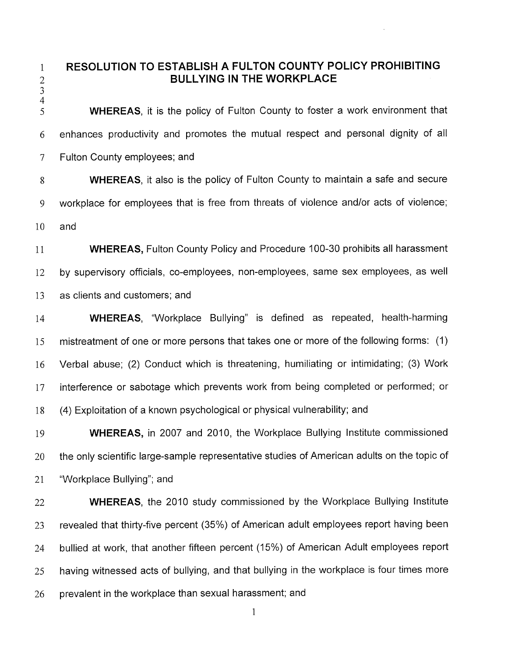**RESOLUTION TO ESTABLISH A FULTON COUNTY POLICY PROHIBITING BULLYING IN THE WORKPLACE** 

 $\mathbf{1}$ 

 $\begin{array}{c} 2 \\ 3 \\ 4 \end{array}$ WHEREAS, it is the policy of Fulton County to foster a work environment that 5 enhances productivity and promotes the mutual respect and personal dignity of all 6  $\overline{7}$ Fulton County employees; and

WHEREAS, it also is the policy of Fulton County to maintain a safe and secure 8 workplace for employees that is free from threats of violence and/or acts of violence; 9 10 and

11 WHEREAS, Fulton County Policy and Procedure 100-30 prohibits all harassment by supervisory officials, co-employees, non-employees, same sex employees, as well 12 13 as clients and customers; and

WHEREAS, "Workplace Bullying" is defined as repeated, health-harming 14 mistreatment of one or more persons that takes one or more of the following forms: (1) 15 Verbal abuse; (2) Conduct which is threatening, humiliating or intimidating; (3) Work 16 interference or sabotage which prevents work from being completed or performed; or 17 18 (4) Exploitation of a known psychological or physical vulnerability; and

WHEREAS, in 2007 and 2010, the Workplace Bullying Institute commissioned 19 20 the only scientific large-sample representative studies of American adults on the topic of 21 "Workplace Bullying"; and

WHEREAS, the 2010 study commissioned by the Workplace Bullying Institute 22 revealed that thirty-five percent (35%) of American adult employees report having been 23 bullied at work, that another fifteen percent (15%) of American Adult employees report 24 having witnessed acts of bullying, and that bullying in the workplace is four times more 25 prevalent in the workplace than sexual harassment; and 26

1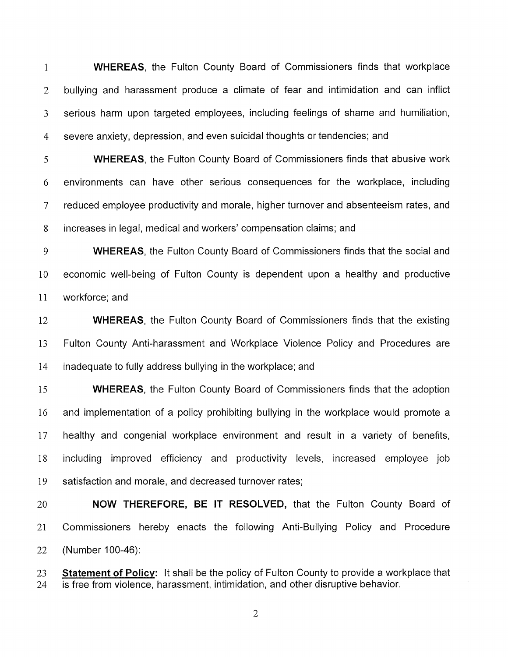WHEREAS, the Fulton County Board of Commissioners finds that workplace  $\mathbf{1}$  $\mathcal{L}$ bullying and harassment produce a climate of fear and intimidation and can inflict  $\overline{3}$ serious harm upon targeted employees, including feelings of shame and humiliation, severe anxiety, depression, and even suicidal thoughts or tendencies; and  $\overline{4}$ 

WHEREAS, the Fulton County Board of Commissioners finds that abusive work 5 environments can have other serious consequences for the workplace, including 6  $\overline{7}$ reduced employee productivity and morale, higher turnover and absenteeism rates, and 8 increases in legal, medical and workers' compensation claims; and

9 WHEREAS, the Fulton County Board of Commissioners finds that the social and 10 economic well-being of Fulton County is dependent upon a healthy and productive 11 workforce: and

12 WHEREAS, the Fulton County Board of Commissioners finds that the existing 13 Fulton County Anti-harassment and Workplace Violence Policy and Procedures are 14 inadequate to fully address bullying in the workplace; and

15 WHEREAS, the Fulton County Board of Commissioners finds that the adoption 16 and implementation of a policy prohibiting bullying in the workplace would promote a 17 healthy and congenial workplace environment and result in a variety of benefits, 18 including improved efficiency and productivity levels, increased employee job satisfaction and morale, and decreased turnover rates; 19

20 NOW THEREFORE, BE IT RESOLVED, that the Fulton County Board of 21 Commissioners hereby enacts the following Anti-Bullying Policy and Procedure 22 (Number 100-46):

**Statement of Policy:** It shall be the policy of Fulton County to provide a workplace that 23 is free from violence, harassment, intimidation, and other disruptive behavior. 24

 $\overline{2}$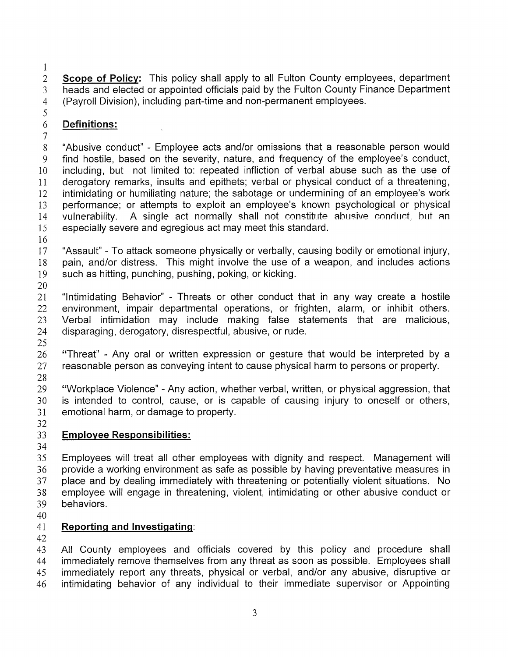$\mathbf{1}$  $\overline{2}$ **Scope of Policy:** This policy shall apply to all Fulton County employees, department heads and elected or appointed officials paid by the Fulton County Finance Department  $\overline{3}$ (Payroll Division), including part-time and non-permanent employees.  $\overline{4}$ 

## 6 **Definitions:**

 $\overline{7}$ "Abusive conduct" - Employee acts and/or omissions that a reasonable person would 8 9 find hostile, based on the severity, nature, and frequency of the employee's conduct, including, but not limited to: repeated infliction of verbal abuse such as the use of 10 derogatory remarks, insults and epithets; verbal or physical conduct of a threatening, 11 12 intimidating or humiliating nature; the sabotage or undermining of an employee's work performance; or attempts to exploit an employee's known psychological or physical vulnerability. A single act normally shall not constitute abusive conduct, but an 13 14 A single act normally shall not constitute abusive conduct, but an especially severe and egregious act may meet this standard. 15

16

5

17 "Assault" - To attack someone physically or verbally, causing bodily or emotional injury, pain, and/or distress. This might involve the use of a weapon, and includes actions 18 19 such as hitting, punching, pushing, poking, or kicking. 20

21 "Intimidating Behavior" - Threats or other conduct that in any way create a hostile 22 environment, impair departmental operations, or frighten, alarm, or inhibit others. Verbal intimidation may include making false statements that are malicious, 23 24 disparaging, derogatory, disrespectful, abusive, or rude.

25

26 "Threat" - Any oral or written expression or gesture that would be interpreted by a 27 reasonable person as conveying intent to cause physical harm to persons or property.

28

29 "Workplace Violence" - Any action, whether verbal, written, or physical aggression, that 30 is intended to control, cause, or is capable of causing injury to oneself or others,  $31$ emotional harm, or damage to property. 32

# 33 **Employee Responsibilities:**

34

35 Employees will treat all other employees with dignity and respect. Management will provide a working environment as safe as possible by having preventative measures in 36 37 place and by dealing immediately with threatening or potentially violent situations. No 38 employee will engage in threatening, violent, intimidating or other abusive conduct or 39 behaviors.

40

# 41 **Reporting and Investigating:**

42

43 All County employees and officials covered by this policy and procedure shall immediately remove themselves from any threat as soon as possible. Employees shall 44 immediately report any threats, physical or verbal, and/or any abusive, disruptive or 45 intimidating behavior of any individual to their immediate supervisor or Appointing 46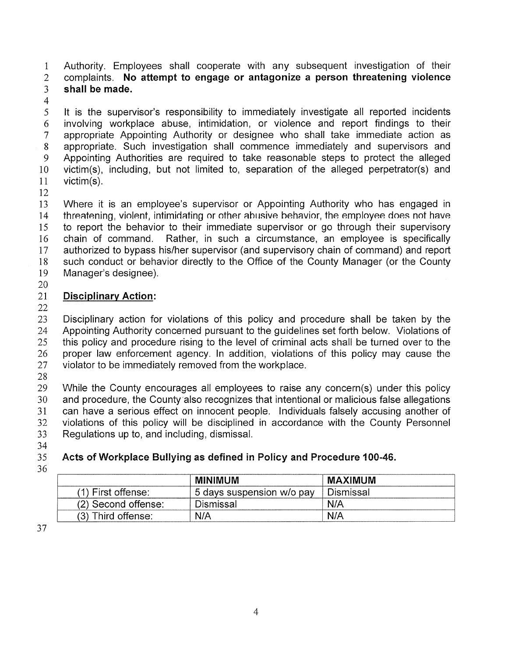Authority. Employees shall cooperate with any subsequent investigation of their  $\mathbf{1}$ complaints. **No attempt to engage or antagonize a person threatening violence**   $\overline{2}$  $\overline{3}$ **shall be made.** 

 $\overline{4}$ 

5 It is the supervisor's responsibility to immediately investigate all reported incidents involving workplace abuse, intimidation, or violence and report findings to their 6 appropriate Appointing Authority or designee who shall take immediate action as  $\overline{7}$ 8 appropriate. Such investigation shall commence immediately and supervisors and Appointing Authorities are required to take reasonable steps to protect the alleged 9 10 victim(s), including, but not limited to, separation of the alleged perpetrator(s) and victim(s). 11

12

Where it is an employee's supervisor or Appointing Authority who has engaged in 13 threatening, violent, intimidating or other abusive behavior, the employee does not have  $14$ 15 to report the behavior to their immediate supervisor or go through their supervisory chain of command. Rather, in such a circumstance, an employee is specifically 16 authorized to bypass his/her supervisor (and supervisory chain of command) and report 17 such conduct or behavior directly to the Office of the County Manager (or the County 18 19 Manager's designee).

20

# 21 **Disciplinary Action:**

22

23 Disciplinary action for violations of this policy and procedure shall be taken by the 24 Appointing Authority concerned pursuant to the guidelines set forth below. Violations of this policy and procedure rising to the level of criminal acts shall be turned over to the 25 26 proper law enforcement agency. In addition, violations of this policy may cause the 27 violator to be immediately removed from the workplace.

28

29 While the County encourages all employees to raise any concern(s) under this policy and procedure, the County also recognizes that intentional or malicious false allegations 30 31 can have a serious effect on innocent people. Individuals falsely accusing another of violations of this policy will be disciplined in accordance with the County Personnel 32 33 Regulations up to, and including, dismissal.

34

# 35 **Acts of Workplace Bullying as defined in Policy and Procedure 400-46.**

36

|                      | <b>MINIMUM</b>            | <b>MAXIMUM</b> |
|----------------------|---------------------------|----------------|
| $(1)$ First offense: | 5 days suspension w/o pay | Dismissal      |
| (2) Second offense:  | Dismissal                 | N/A            |
| (3) Third offense:   | N/A                       | N/A            |

37